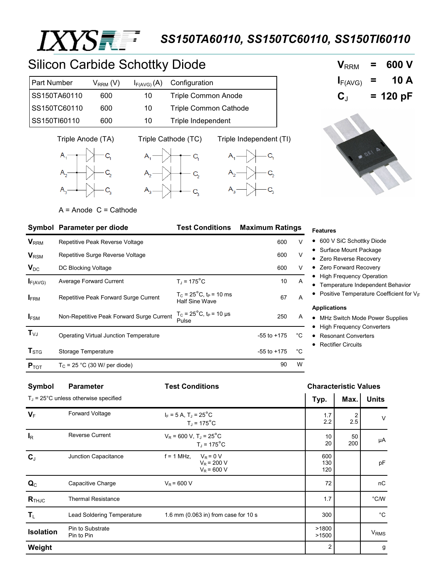

## *SS150TA60110, SS150TC60110, SS150TI60110*

# Silicon Carbide Schottky Diode

| <b>Part Number</b> | $\rm V_{\rm RRM}$ (V). |    | $I_{F(AVG)}(A)$ Configuration |
|--------------------|------------------------|----|-------------------------------|
| SS150TA60110       | 600                    | 10 | <b>Triple Common Anode</b>    |
| SS150TC60110       | 600                    | 10 | <b>Triple Common Cathode</b>  |
| SS150TI60110       | 600                    | 10 | Triple Independent            |











 $A =$  Anode  $C =$  Cathode

|                           | <b>Test Conditions</b><br><b>Maximum Ratings</b><br>Symbol Parameter per diode |                                                                       |                 |    |
|---------------------------|--------------------------------------------------------------------------------|-----------------------------------------------------------------------|-----------------|----|
| $V_{RRM}$                 | Repetitive Peak Reverse Voltage                                                |                                                                       | 600             | V  |
| $V_{\rm RSM}$             | Repetitive Surge Reverse Voltage                                               |                                                                       | 600             | V  |
| $V_{DC}$                  | DC Blocking Voltage                                                            |                                                                       | 600             | V  |
| $I_{F(AVG)}$              | Average Forward Current                                                        | $T_{\rm J}$ = 175 <sup>°</sup> C                                      | 10              | Α  |
| <b>FRM</b>                | Repetitive Peak Forward Surge Current                                          | $T_c = 25^{\circ}$ C, t <sub>P</sub> = 10 ms<br><b>Half Sine Wave</b> | 67              | A  |
| $I_{FSM}$                 | Non-Repetitive Peak Forward Surge Current                                      | $T_c = 25^{\circ}$ C, t <sub>P</sub> = 10 µs<br>Pulse                 | 250             | A  |
| $T_{VJ}$                  | Operating Virtual Junction Temperature                                         |                                                                       | $-55$ to $+175$ | °C |
| $\mathbf{T}_{\text{STG}}$ | Storage Temperature                                                            |                                                                       | $-55$ to $+175$ | °C |
| $P_{TOT}$                 | $T_C$ = 25 °C (30 W/ per diode)                                                |                                                                       | 90              | W  |

#### **Features**

- 600 V SiC Schottky Diode
- Surface Mount Package
- Zero Reverse Recovery
- Zero Forward Recovery
- High Frequency Operation
- Temperature Independent Behavior
- Positive Temperature Coefficient for VF

#### **Applications**

- MHz Switch Mode Power Supplies
- High Frequency Converters
- Resonant Converters
- Rectifier Circuits

| Symbol              | <b>Parameter</b>                          | <b>Test Conditions</b>                                                        |                   | <b>Characteristic Values</b> |                        |  |
|---------------------|-------------------------------------------|-------------------------------------------------------------------------------|-------------------|------------------------------|------------------------|--|
|                     | $T_{J}$ = 25°C unless otherwise specified |                                                                               | Typ.              | Max.                         | <b>Units</b>           |  |
| $V_F$               | Forward Voltage                           | $I_F = 5 A$ , $T_J = 25^{\circ}C$<br>$T_{\rm J}$ = 175 $^{\circ}$ C           | 1.7<br>2.2        | $\overline{2}$<br>2.5        | $\vee$                 |  |
| $I_{R}$             | <b>Reverse Current</b>                    | $V_R$ = 600 V, T <sub>J</sub> = 25 <sup>°</sup> C<br>$T_1$ = 175 $^{\circ}$ C | 10<br>20          | 50<br>200                    | μA                     |  |
| $C_{J}$             | Junction Capacitance                      | $f = 1$ MHz,<br>$V_R = 0 V$<br>$V_R$ = 200 V<br>$V_R$ = 600 V                 | 600<br>130<br>120 |                              | pF                     |  |
| $\mathbf{Q}_C$      | Capacitive Charge                         | $V_R$ = 600 V                                                                 | 72                |                              | nC                     |  |
| $R$ <sub>THJC</sub> | <b>Thermal Resistance</b>                 |                                                                               | 1.7               |                              | $^{\circ}$ C/W         |  |
| $T_{L}$             | <b>Lead Soldering Temperature</b>         | 1.6 mm (0.063 in) from case for 10 s                                          | 300               |                              | $^{\circ}$ C           |  |
| Isolation           | Pin to Substrate<br>Pin to Pin            |                                                                               | >1800<br>>1500    |                              | <b>V<sub>RMS</sub></b> |  |
| Weight              |                                           |                                                                               | 2                 |                              | g                      |  |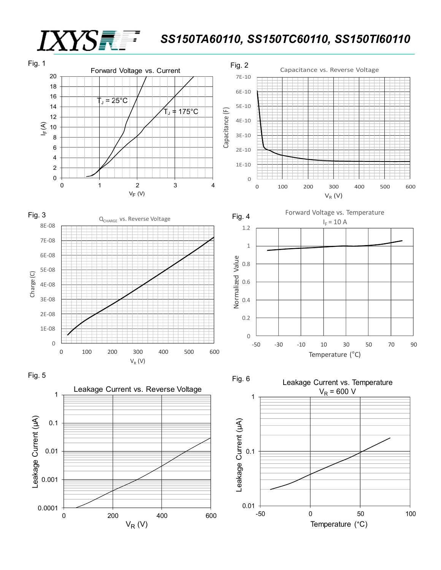### *SS150TA60110, SS150TC60110, SS150TI60110*



 $V_R$  (V)

*IXYS* 

Temperature (°C)